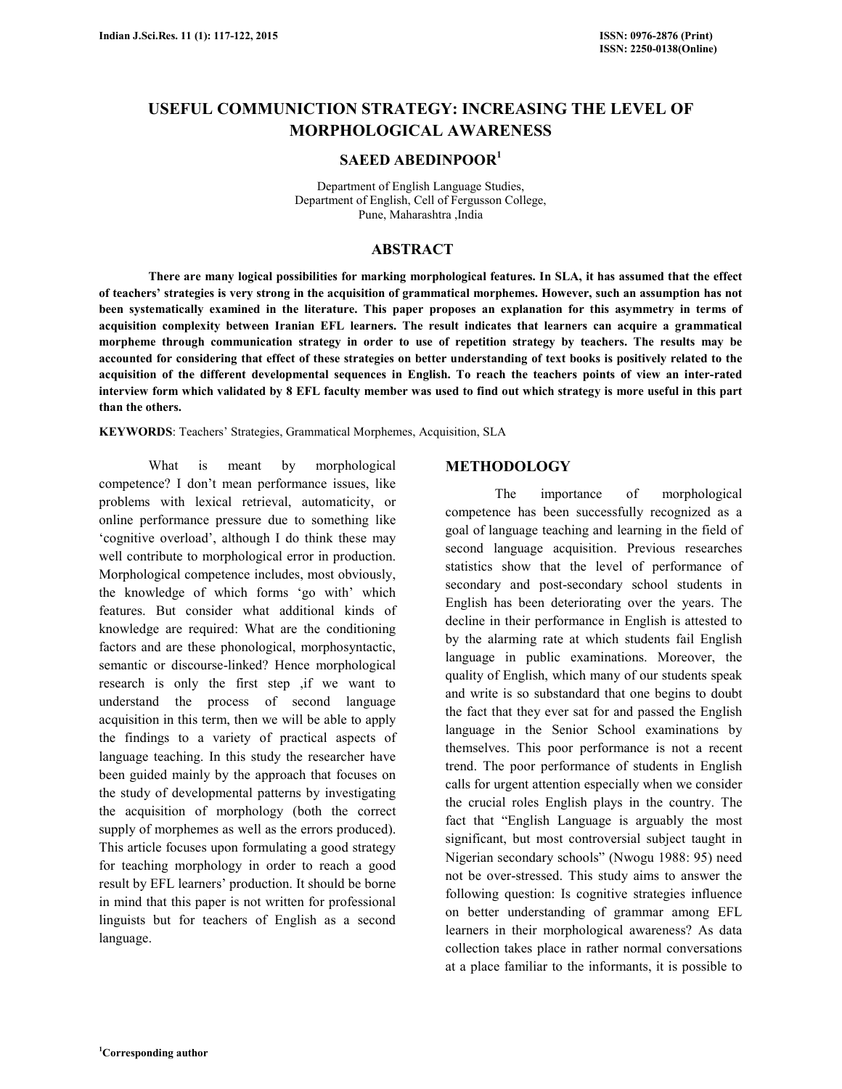# **USEFUL COMMUNICTION STRATEGY: INCREASING THE LEVEL OF MORPHOLOGICAL AWARENESS**

# **SAEED ABEDINPOOR<sup>1</sup>**

Department of English Language Studies, Department of English, Cell of Fergusson College, Pune, Maharashtra ,India

### **ABSTRACT**

 **There are many logical possibilities for marking morphological features. In SLA, it has assumed that the effect of teachers' strategies is very strong in the acquisition of grammatical morphemes. However, such an assumption has not been systematically examined in the literature. This paper proposes an explanation for this asymmetry in terms of acquisition complexity between Iranian EFL learners. The result indicates that learners can acquire a grammatical morpheme through communication strategy in order to use of repetition strategy by teachers. The results may be accounted for considering that effect of these strategies on better understanding of text books is positively related to the acquisition of the different developmental sequences in English. To reach the teachers points of view an inter-rated interview form which validated by 8 EFL faculty member was used to find out which strategy is more useful in this part than the others.** 

**KEYWORDS**: Teachers' Strategies, Grammatical Morphemes, Acquisition, SLA

 What is meant by morphological competence? I don't mean performance issues, like problems with lexical retrieval, automaticity, or online performance pressure due to something like 'cognitive overload', although I do think these may well contribute to morphological error in production. Morphological competence includes, most obviously, the knowledge of which forms 'go with' which features. But consider what additional kinds of knowledge are required: What are the conditioning factors and are these phonological, morphosyntactic, semantic or discourse-linked? Hence morphological research is only the first step ,if we want to understand the process of second language acquisition in this term, then we will be able to apply the findings to a variety of practical aspects of language teaching. In this study the researcher have been guided mainly by the approach that focuses on the study of developmental patterns by investigating the acquisition of morphology (both the correct supply of morphemes as well as the errors produced). This article focuses upon formulating a good strategy for teaching morphology in order to reach a good result by EFL learners' production. It should be borne in mind that this paper is not written for professional linguists but for teachers of English as a second language.

#### **METHODOLOGY**

 The importance of morphological competence has been successfully recognized as a goal of language teaching and learning in the field of second language acquisition. Previous researches statistics show that the level of performance of secondary and post-secondary school students in English has been deteriorating over the years. The decline in their performance in English is attested to by the alarming rate at which students fail English language in public examinations. Moreover, the quality of English, which many of our students speak and write is so substandard that one begins to doubt the fact that they ever sat for and passed the English language in the Senior School examinations by themselves. This poor performance is not a recent trend. The poor performance of students in English calls for urgent attention especially when we consider the crucial roles English plays in the country. The fact that "English Language is arguably the most significant, but most controversial subject taught in Nigerian secondary schools" (Nwogu 1988: 95) need not be over-stressed. This study aims to answer the following question: Is cognitive strategies influence on better understanding of grammar among EFL learners in their morphological awareness? As data collection takes place in rather normal conversations at a place familiar to the informants, it is possible to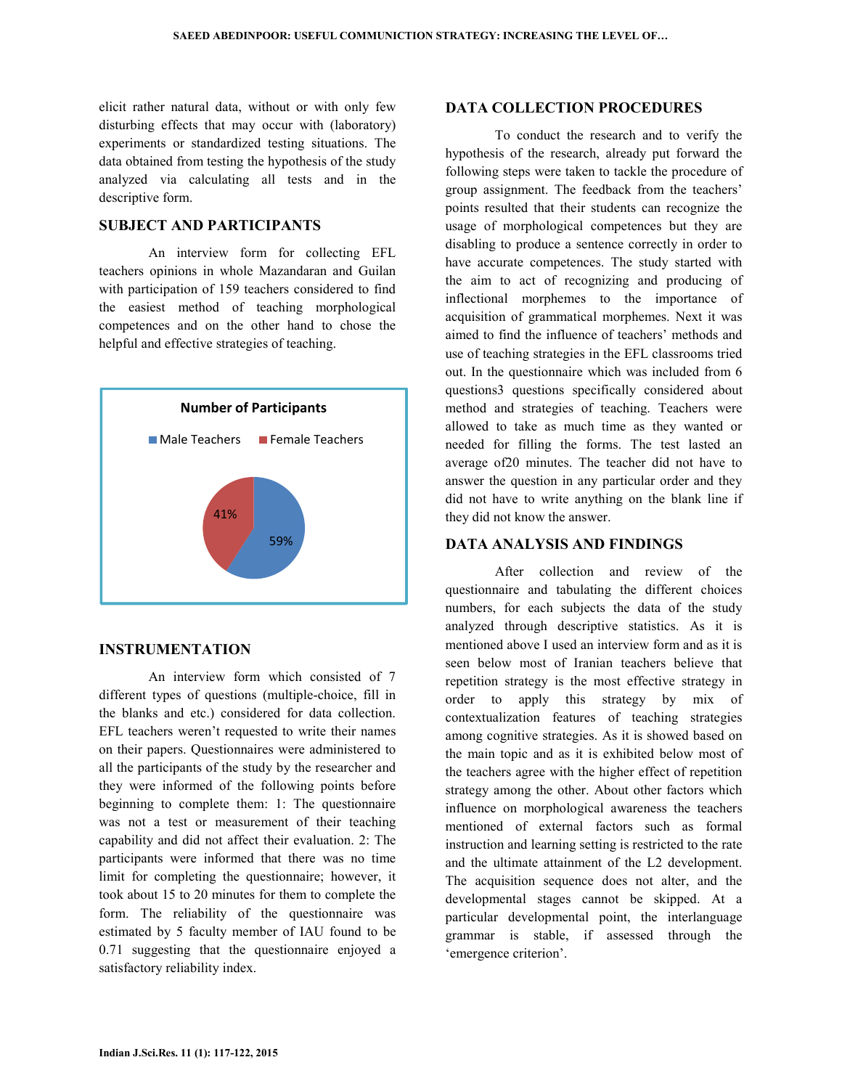elicit rather natural data, without or with only few disturbing effects that may occur with (laboratory) experiments or standardized testing situations. The data obtained from testing the hypothesis of the study analyzed via calculating all tests and in the descriptive form.

#### **SUBJECT AND PARTICIPANTS**

 An interview form for collecting EFL teachers opinions in whole Mazandaran and Guilan with participation of 159 teachers considered to find the easiest method of teaching morphological competences and on the other hand to chose the helpful and effective strategies of teaching.



#### **INSTRUMENTATION**

 An interview form which consisted of 7 different types of questions (multiple-choice, fill in the blanks and etc.) considered for data collection. EFL teachers weren't requested to write their names on their papers. Questionnaires were administered to all the participants of the study by the researcher and they were informed of the following points before beginning to complete them: 1: The questionnaire was not a test or measurement of their teaching capability and did not affect their evaluation. 2: The participants were informed that there was no time limit for completing the questionnaire; however, it took about 15 to 20 minutes for them to complete the form. The reliability of the questionnaire was estimated by 5 faculty member of IAU found to be 0.71 suggesting that the questionnaire enjoyed a satisfactory reliability index.

#### **DATA COLLECTION PROCEDURES**

 To conduct the research and to verify the hypothesis of the research, already put forward the following steps were taken to tackle the procedure of group assignment. The feedback from the teachers' points resulted that their students can recognize the usage of morphological competences but they are disabling to produce a sentence correctly in order to have accurate competences. The study started with the aim to act of recognizing and producing of inflectional morphemes to the importance of acquisition of grammatical morphemes. Next it was aimed to find the influence of teachers' methods and use of teaching strategies in the EFL classrooms tried out. In the questionnaire which was included from 6 questions3 questions specifically considered about method and strategies of teaching. Teachers were allowed to take as much time as they wanted or needed for filling the forms. The test lasted an average of20 minutes. The teacher did not have to answer the question in any particular order and they did not have to write anything on the blank line if they did not know the answer.

# **DATA ANALYSIS AND FINDINGS**

 After collection and review of the questionnaire and tabulating the different choices numbers, for each subjects the data of the study analyzed through descriptive statistics. As it is mentioned above I used an interview form and as it is seen below most of Iranian teachers believe that repetition strategy is the most effective strategy in order to apply this strategy by mix of contextualization features of teaching strategies among cognitive strategies. As it is showed based on the main topic and as it is exhibited below most of the teachers agree with the higher effect of repetition strategy among the other. About other factors which influence on morphological awareness the teachers mentioned of external factors such as formal instruction and learning setting is restricted to the rate and the ultimate attainment of the L2 development. The acquisition sequence does not alter, and the developmental stages cannot be skipped. At a particular developmental point, the interlanguage grammar is stable, if assessed through the 'emergence criterion'.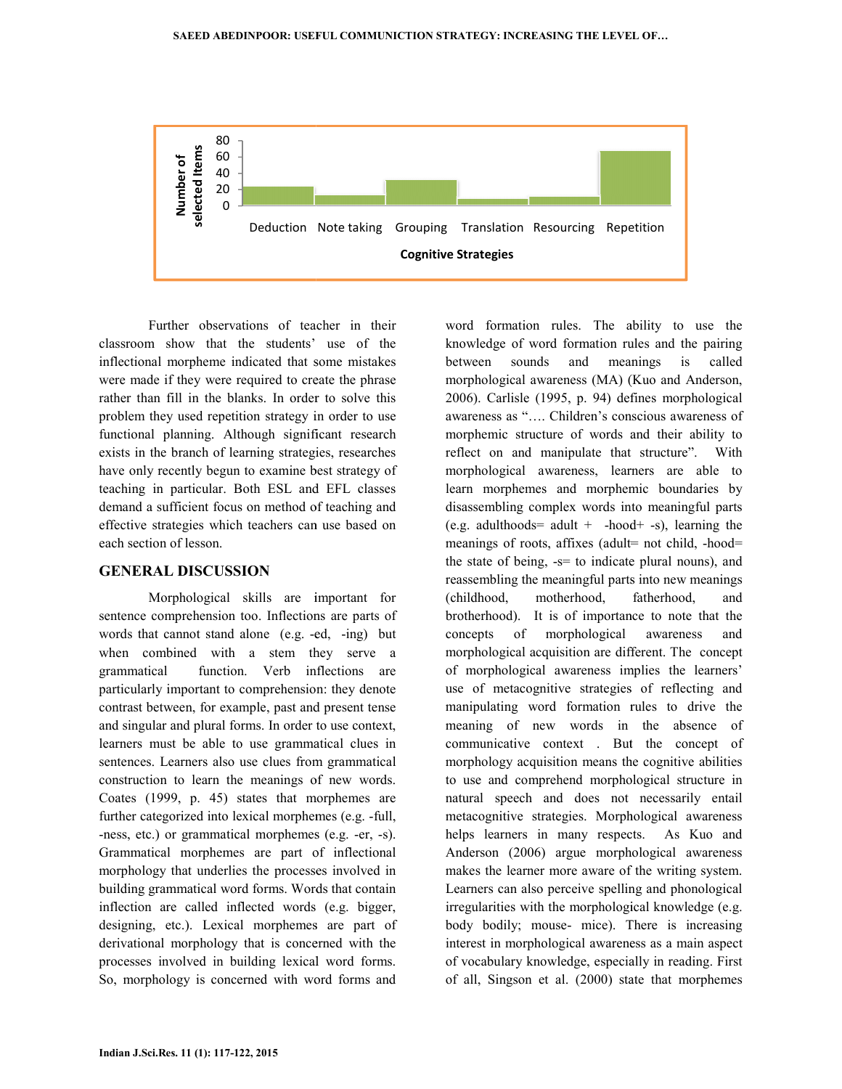

Further observations of teacher in their classroom show that the students' use of the inflectional morpheme indicated that some mistakes were made if they were required to create the phrase rather than fill in the blanks. In order to solve this problem they used repetition strategy in order to use functional planning. Although significant research exists in the branch of learning strategies, researches have only recently begun to examine best strategy of teaching in particular. Both ESL and EFL demand a sufficient focus on method of teaching and effective strategies which teachers can use based on each section of lesson. reflucture observations of teacher in their<br>show that the students' use of the<br>morpheme indicated that some mistakes<br>if they were required to create the phrase<br>fill in the blanks. In order to solve this<br>y used repetition s

#### **GENERAL DISCUSSION**

Morphological skills are important for sentence comprehension too. Inflections are parts of demand a sufficient focus on method of teaching and<br>effective strategies which teachers can use based on<br>each section of lesson.<br>**GENERAL DISCUSSION**<br>Morphological skills are important for<br>sentence comprehension too. Infle when combined with a stem they serve a grammatical function. Verb inflections are particularly important to comprehension: they denote contrast between, for example, past and present tense and singular and plural forms. In order to use context, learners must be able to use grammatical clues in sentences. Learners also use clues from grammatical construction to learn the meanings of new words. Coates (1999, p. 45) states that morphemes are further categorized into lexical morphemes (e.g. -full, -ness, etc.) or grammatical morphemes (e.g. -er, -s). Grammatical morphemes are part of inflectional morphology that underlies the processes involved in building grammatical word forms. Words that contain inflection are called inflected words (e.g. bigger, designing, etc.). Lexical morphemes are part of derivational morphology that is concerned with the processes involved in building lexical word forms. So, morphology is concerned with word forms and when combined with a stem they serve a grammatical function. Verb inflections are particularly important to comprehension: they denote contrast between, for example, past and present tense and singular and plural forms. In

produces of two-fits and formation of the ability to use the simulation particular simulation and more in the simulation that some more than the simulation of the simulation of the simulation of the simulation rules and m knowledge of word formation rules and the pairing between sounds and meanings is called morphological awareness (MA) (Kuo and Anderson, 2006). Carlisle (1995, p. 94) defines morphological awareness as "…. Children's conscious awarene awareness of morphemic structure of words and their ability to reflect on and manipulate that structure". With morphological awareness, learners are able to learn morphemes and morphemic boundaries by disassembling complex words into meaningful parts (e.g. adulthoods= adult  $+$  -hood+ -s), learning the meanings of roots, affixes (adult= not child, -hood= the state of being,  $-s=$  to indicate plural nouns), and reassembling the meaningful parts into new meanings (childhood, motherhood, fatherhood, and brotherhood). It is of importance to note that the concepts of morphological awareness and morphological acquisition are different. The concept of morphological awareness implies the learners' use of metacognitive strategies of reflecting and manipulating word formation rules to drive the meaning of new words in the absence of communicative context . But the concept of morphology acquisition means the cognitive abilities to use and comprehend morphological structure in natural speech and does not necessarily entail metacognitive strategies. Morphological awareness helps learners in many respects. As Kuo and Anderson (2006) argue morphological awareness makes the learner more aware of the writing system. Learners can also perceive spelling and phonological irregularities with the morphological knowledge (e.g. body bodily; mouse- mice). There is increasing interest in morphological awareness as a main aspect of vocabulary knowledge, especially in reading. First of all, Singson et al. (2000) state that morphemes e state of being, -s= to indicate plural nouns), and<br>assembling the meaningful parts into new meanings<br>hildhood, motherhood, fatherhood, and<br>otherhood). It is of importance to note that the<br>nocepts of morphological awarene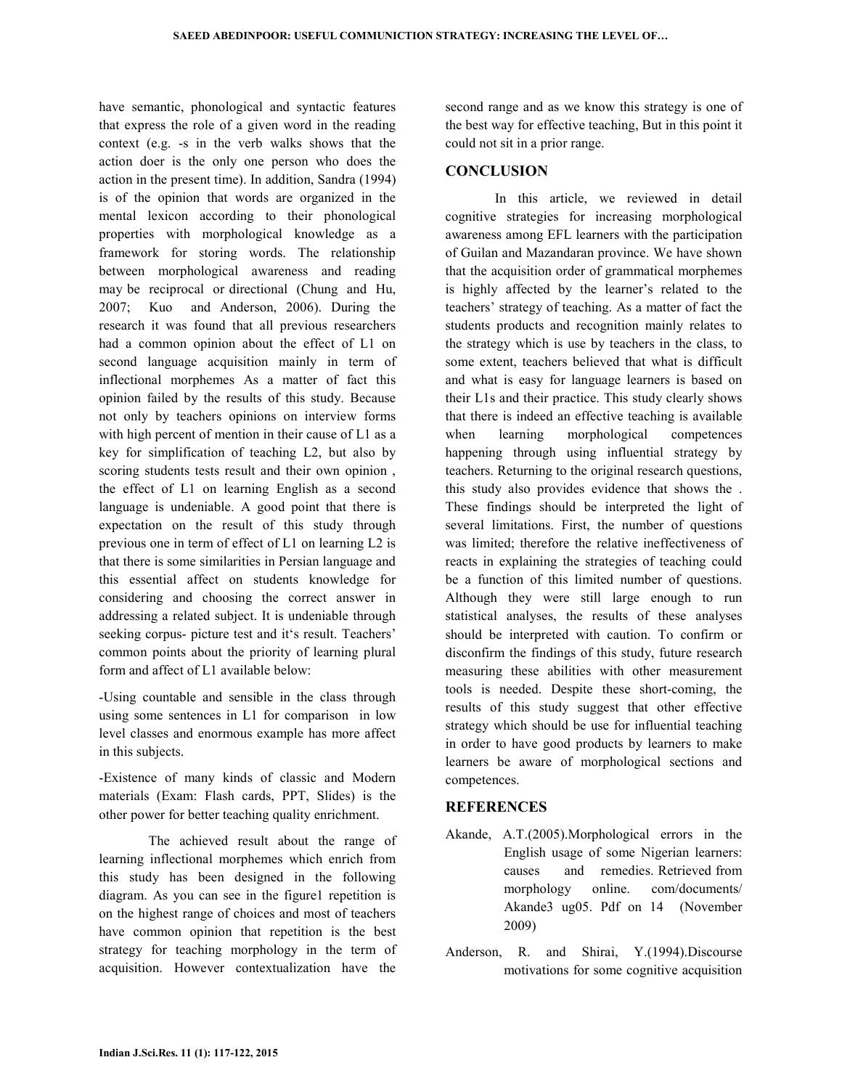have semantic, phonological and syntactic features that express the role of a given word in the reading context (e.g. -s in the verb walks shows that the action doer is the only one person who does the action in the present time). In addition, Sandra (1994) is of the opinion that words are organized in the mental lexicon according to their phonological properties with morphological knowledge as a framework for storing words. The relationship between morphological awareness and reading may be reciprocal or directional (Chung and Hu, 2007; Kuo and Anderson, 2006). During the research it was found that all previous researchers had a common opinion about the effect of L1 on second language acquisition mainly in term of inflectional morphemes As a matter of fact this opinion failed by the results of this study. Because not only by teachers opinions on interview forms with high percent of mention in their cause of L1 as a key for simplification of teaching L2, but also by scoring students tests result and their own opinion , the effect of L1 on learning English as a second language is undeniable. A good point that there is expectation on the result of this study through previous one in term of effect of L1 on learning L2 is that there is some similarities in Persian language and this essential affect on students knowledge for considering and choosing the correct answer in addressing a related subject. It is undeniable through seeking corpus- picture test and it's result. Teachers' common points about the priority of learning plural form and affect of L1 available below:

-Using countable and sensible in the class through using some sentences in L1 for comparison in low level classes and enormous example has more affect in this subjects.

-Existence of many kinds of classic and Modern materials (Exam: Flash cards, PPT, Slides) is the other power for better teaching quality enrichment.

 The achieved result about the range of learning inflectional morphemes which enrich from this study has been designed in the following diagram. As you can see in the figure1 repetition is on the highest range of choices and most of teachers have common opinion that repetition is the best strategy for teaching morphology in the term of acquisition. However contextualization have the second range and as we know this strategy is one of the best way for effective teaching, But in this point it could not sit in a prior range.

# **CONCLUSION**

 In this article, we reviewed in detail cognitive strategies for increasing morphological awareness among EFL learners with the participation of Guilan and Mazandaran province. We have shown that the acquisition order of grammatical morphemes is highly affected by the learner's related to the teachers' strategy of teaching. As a matter of fact the students products and recognition mainly relates to the strategy which is use by teachers in the class, to some extent, teachers believed that what is difficult and what is easy for language learners is based on their L1s and their practice. This study clearly shows that there is indeed an effective teaching is available when learning morphological competences happening through using influential strategy by teachers. Returning to the original research questions, this study also provides evidence that shows the . These findings should be interpreted the light of several limitations. First, the number of questions was limited; therefore the relative ineffectiveness of reacts in explaining the strategies of teaching could be a function of this limited number of questions. Although they were still large enough to run statistical analyses, the results of these analyses should be interpreted with caution. To confirm or disconfirm the findings of this study, future research measuring these abilities with other measurement tools is needed. Despite these short-coming, the results of this study suggest that other effective strategy which should be use for influential teaching in order to have good products by learners to make learners be aware of morphological sections and competences.

# **REFERENCES**

- Akande, A.T.(2005).Morphological errors in the English usage of some Nigerian learners: causes and remedies. Retrieved from morphology online. com/documents/ Akande3 ug05. Pdf on 14 (November 2009)
- Anderson, R. and Shirai, Y.(1994).Discourse motivations for some cognitive acquisition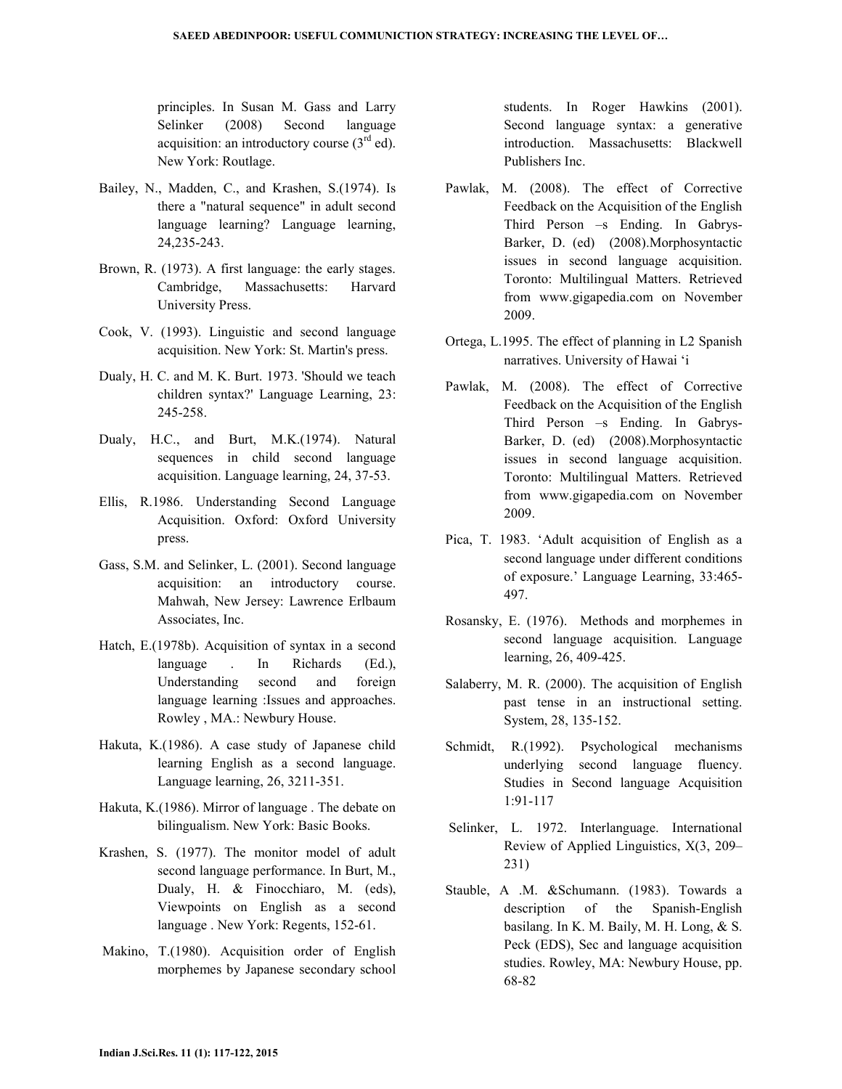principles. In Susan M. Gass and Larry Selinker (2008) Second language acquisition: an introductory course  $(3<sup>rd</sup> ed)$ . New York: Routlage.

- Bailey, N., Madden, C., and Krashen, S.(1974). Is there a "natural sequence" in adult second language learning? Language learning, 24,235-243.
- Brown, R. (1973). A first language: the early stages. Cambridge, Massachusetts: Harvard University Press.
- Cook, V. (1993). Linguistic and second language acquisition. New York: St. Martin's press.
- Dualy, H. C. and M. K. Burt. 1973. 'Should we teach children syntax?' Language Learning, 23: 245-258.
- Dualy, H.C., and Burt, M.K.(1974). Natural sequences in child second language acquisition. Language learning, 24, 37-53.
- Ellis, R.1986. Understanding Second Language Acquisition. Oxford: Oxford University press.
- Gass, S.M. and Selinker, L. (2001). Second language acquisition: an introductory course. Mahwah, New Jersey: Lawrence Erlbaum Associates, Inc.
- Hatch, E.(1978b). Acquisition of syntax in a second language . In Richards (Ed.), Understanding second and foreign language learning :Issues and approaches. Rowley , MA.: Newbury House.
- Hakuta, K.(1986). A case study of Japanese child learning English as a second language. Language learning, 26, 3211-351.
- Hakuta, K.(1986). Mirror of language . The debate on bilingualism. New York: Basic Books.
- Krashen, S. (1977). The monitor model of adult second language performance. In Burt, M., Dualy, H. & Finocchiaro, M. (eds), Viewpoints on English as a second language . New York: Regents, 152-61.
- Makino, T.(1980). Acquisition order of English morphemes by Japanese secondary school

students. In Roger Hawkins (2001). Second language syntax: a generative introduction. Massachusetts: Blackwell Publishers Inc.

- Pawlak, M. (2008). The effect of Corrective Feedback on the Acquisition of the English Third Person –s Ending. In Gabrys-Barker, D. (ed) (2008).Morphosyntactic issues in second language acquisition. Toronto: Multilingual Matters. Retrieved from www.gigapedia.com on November 2009.
- Ortega, L.1995. The effect of planning in L2 Spanish narratives. University of Hawai 'i
- Pawlak, M. (2008). The effect of Corrective Feedback on the Acquisition of the English Third Person –s Ending. In Gabrys-Barker, D. (ed) (2008).Morphosyntactic issues in second language acquisition. Toronto: Multilingual Matters. Retrieved from www.gigapedia.com on November 2009.
- Pica, T. 1983. 'Adult acquisition of English as a second language under different conditions of exposure.' Language Learning, 33:465- 497.
- Rosansky, E. (1976). Methods and morphemes in second language acquisition. Language learning, 26, 409-425.
- Salaberry, M. R. (2000). The acquisition of English past tense in an instructional setting. System, 28, 135-152.
- Schmidt, R.(1992). Psychological mechanisms underlying second language fluency. Studies in Second language Acquisition 1:91-117
- Selinker, L. 1972. Interlanguage. International Review of Applied Linguistics, X(3, 209– 231)
- Stauble, A .M. &Schumann. (1983). Towards a description of the Spanish-English basilang. In K. M. Baily, M. H. Long, & S. Peck (EDS), Sec and language acquisition studies. Rowley, MA: Newbury House, pp. 68-82